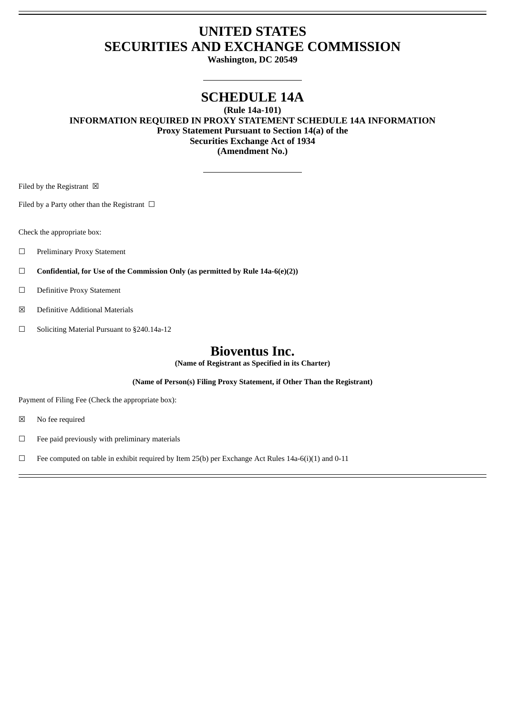# **UNITED STATES SECURITIES AND EXCHANGE COMMISSION**

**Washington, DC 20549**

## **SCHEDULE 14A**

**(Rule 14a-101)**

**INFORMATION REQUIRED IN PROXY STATEMENT SCHEDULE 14A INFORMATION Proxy Statement Pursuant to Section 14(a) of the Securities Exchange Act of 1934 (Amendment No.)**

Filed by the Registrant  $\ \boxtimes$ 

Filed by a Party other than the Registrant  $\Box$ 

Check the appropriate box:

- ☐ Preliminary Proxy Statement
- ☐ **Confidential, for Use of the Commission Only (as permitted by Rule 14a-6(e)(2))**
- ☐ Definitive Proxy Statement
- ☒ Definitive Additional Materials
- ☐ Soliciting Material Pursuant to §240.14a-12

## **Bioventus Inc.**

**(Name of Registrant as Specified in its Charter)**

**(Name of Person(s) Filing Proxy Statement, if Other Than the Registrant)**

Payment of Filing Fee (Check the appropriate box):

☒ No fee required

 $\hfill\Box\quad$  Fee paid previously with preliminary materials

□ Fee computed on table in exhibit required by Item 25(b) per Exchange Act Rules 14a-6(i)(1) and 0-11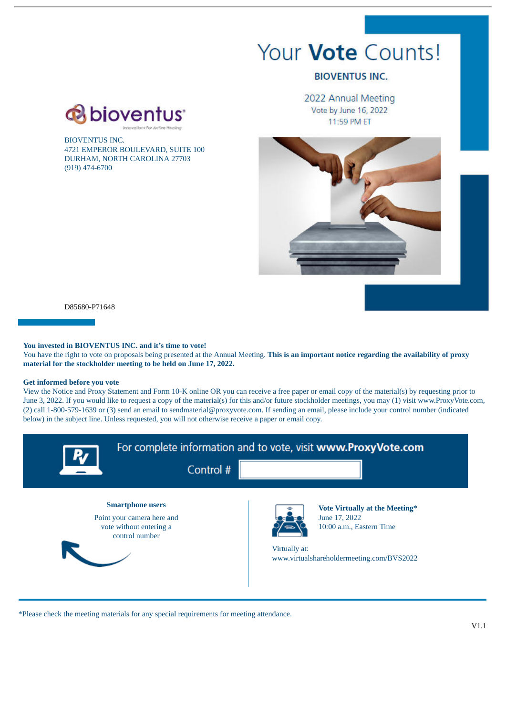# Your **Vote** Counts!

## **BIOVENTUS INC.**

2022 Annual Meeting Vote by June 16, 2022 11:59 PM ET



D85680-P71648

BIOVENTUS INC.

(919) 474-6700

4721 EMPEROR BOULEVARD, SUITE 100 DURHAM, NORTH CAROLINA 27703

**a**bioventus

### **You invested in BIOVENTUS INC. and it's time to vote!**

You have the right to vote on proposals being presented at the Annual Meeting. **This is an important notice regarding the availability of proxy material for the stockholder meeting to be held on June 17, 2022.**

#### **Get informed before you vote**

View the Notice and Proxy Statement and Form 10-K online OR you can receive a free paper or email copy of the material(s) by requesting prior to June 3, 2022. If you would like to request a copy of the material(s) for this and/or future stockholder meetings, you may (1) visit www.ProxyVote.com, (2) call 1-800-579-1639 or (3) send an email to sendmaterial@proxyvote.com. If sending an email, please include your control number (indicated below) in the subject line. Unless requested, you will not otherwise receive a paper or email copy.



\*Please check the meeting materials for any special requirements for meeting attendance.